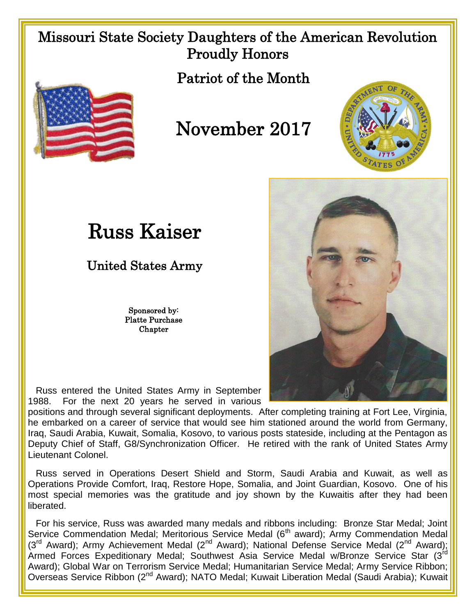## Missouri State Society Daughters of the American Revolution Proudly Honors

Patriot of the Month



## November 2017



## Russ Kaiser

United States Army

Sponsored by: Platte Purchase Chapter



 Russ entered the United States Army in September 1988. For the next 20 years he served in various

positions and through several significant deployments. After completing training at Fort Lee, Virginia, he embarked on a career of service that would see him stationed around the world from Germany, Iraq, Saudi Arabia, Kuwait, Somalia, Kosovo, to various posts stateside, including at the Pentagon as Deputy Chief of Staff, G8/Synchronization Officer. He retired with the rank of United States Army Lieutenant Colonel.

 Russ served in Operations Desert Shield and Storm, Saudi Arabia and Kuwait, as well as Operations Provide Comfort, Iraq, Restore Hope, Somalia, and Joint Guardian, Kosovo. One of his most special memories was the gratitude and joy shown by the Kuwaitis after they had been liberated.

 For his service, Russ was awarded many medals and ribbons including: Bronze Star Medal; Joint Service Commendation Medal; Meritorious Service Medal (6<sup>th</sup> award); Army Commendation Medal (3<sup>rd</sup> Award); Army Achievement Medal (2<sup>nd</sup> Award); National Defense Service Medal (2<sup>nd</sup> Award); Armed Forces Expeditionary Medal; Southwest Asia Service Medal w/Bronze Service Star (3rd Award); Global War on Terrorism Service Medal; Humanitarian Service Medal; Army Service Ribbon; Overseas Service Ribbon (2nd Award); NATO Medal; Kuwait Liberation Medal (Saudi Arabia); Kuwait